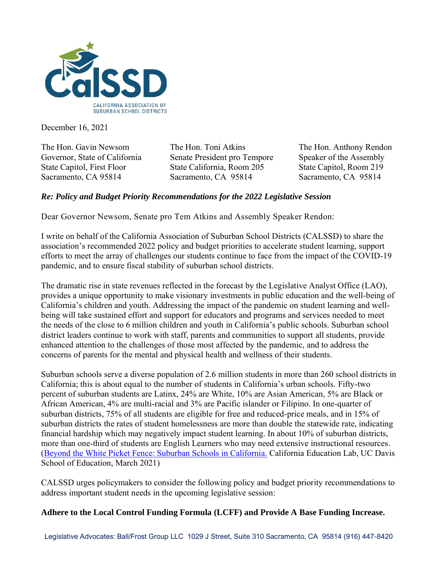

December 16, 2021

The Hon. Gavin Newsom The Hon. Toni Atkins The Hon. Anthony Rendon Governor, State of California Senate President pro Tempore Speaker of the Assembly State Capitol, First Floor State California, Room 205 State Capitol, Room 219 Sacramento, CA 95814 Sacramento, CA 95814 Sacramento, CA 95814

## *Re: Policy and Budget Priority Recommendations for the 2022 Legislative Session*

Dear Governor Newsom, Senate pro Tem Atkins and Assembly Speaker Rendon:

I write on behalf of the California Association of Suburban School Districts (CALSSD) to share the association's recommended 2022 policy and budget priorities to accelerate student learning, support efforts to meet the array of challenges our students continue to face from the impact of the COVID-19 pandemic, and to ensure fiscal stability of suburban school districts.

The dramatic rise in state revenues reflected in the forecast by the Legislative Analyst Office (LAO), provides a unique opportunity to make visionary investments in public education and the well-being of California's children and youth. Addressing the impact of the pandemic on student learning and wellbeing will take sustained effort and support for educators and programs and services needed to meet the needs of the close to 6 million children and youth in California's public schools. Suburban school district leaders continue to work with staff, parents and communities to support all students, provide enhanced attention to the challenges of those most affected by the pandemic, and to address the concerns of parents for the mental and physical health and wellness of their students.

Suburban schools serve a diverse population of 2.6 million students in more than 260 school districts in California; this is about equal to the number of students in California's urban schools. Fifty-two percent of suburban students are Latinx, 24% are White, 10% are Asian American, 5% are Black or African American, 4% are multi-racial and 3% are Pacific islander or Filipino. In one-quarter of suburban districts, 75% of all students are eligible for free and reduced-price meals, and in 15% of suburban districts the rates of student homelessness are more than double the statewide rate, indicating financial hardship which may negatively impact student learning. In about 10% of suburban districts, more than one-third of students are English Learners who may need extensive instructional resources. [\(Beyond the White Picket Fence: Suburban Schools in California.](https://calssd.org/wp-content/uploads/2021/05/CAEdLab.Suburban_Schools_CA.pdf) California Education Lab, UC Davis School of Education, March 2021)

CALSSD urges policymakers to consider the following policy and budget priority recommendations to address important student needs in the upcoming legislative session:

## **Adhere to the Local Control Funding Formula (LCFF) and Provide A Base Funding Increase.**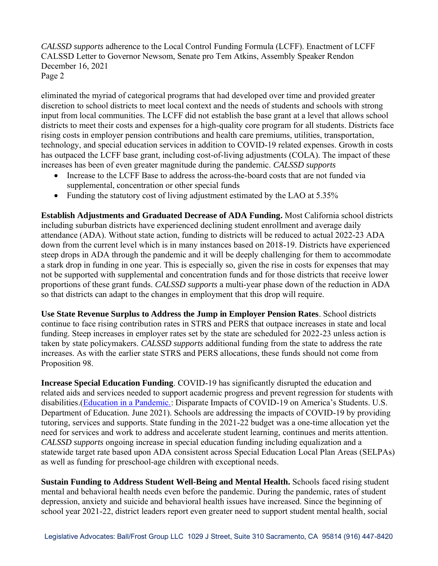*CALSSD supports* adherence to the Local Control Funding Formula (LCFF). Enactment of LCFF CALSSD Letter to Governor Newsom, Senate pro Tem Atkins, Assembly Speaker Rendon December 16, 2021 Page 2

eliminated the myriad of categorical programs that had developed over time and provided greater discretion to school districts to meet local context and the needs of students and schools with strong input from local communities. The LCFF did not establish the base grant at a level that allows school districts to meet their costs and expenses for a high-quality core program for all students. Districts face rising costs in employer pension contributions and health care premiums, utilities, transportation, technology, and special education services in addition to COVID-19 related expenses. Growth in costs has outpaced the LCFF base grant, including cost-of-living adjustments (COLA). The impact of these increases has been of even greater magnitude during the pandemic. *CALSSD supports*

- Increase to the LCFF Base to address the across-the-board costs that are not funded via supplemental, concentration or other special funds
- Funding the statutory cost of living adjustment estimated by the LAO at 5.35%

**Establish Adjustments and Graduated Decrease of ADA Funding.** Most California school districts including suburban districts have experienced declining student enrollment and average daily attendance (ADA). Without state action, funding to districts will be reduced to actual 2022-23 ADA down from the current level which is in many instances based on 2018-19. Districts have experienced steep drops in ADA through the pandemic and it will be deeply challenging for them to accommodate a stark drop in funding in one year. This is especially so, given the rise in costs for expenses that may not be supported with supplemental and concentration funds and for those districts that receive lower proportions of these grant funds. *CALSSD supports* a multi-year phase down of the reduction in ADA so that districts can adapt to the changes in employment that this drop will require.

**Use State Revenue Surplus to Address the Jump in Employer Pension Rates**. School districts continue to face rising contribution rates in STRS and PERS that outpace increases in state and local funding. Steep increases in employer rates set by the state are scheduled for 2022-23 unless action is taken by state policymakers. *CALSSD supports* additional funding from the state to address the rate increases. As with the earlier state STRS and PERS allocations, these funds should not come from Proposition 98.

**Increase Special Education Funding**. COVID-19 has significantly disrupted the education and related aids and services needed to support academic progress and prevent regression for students with disabilities.[\(Education in a Pandemic.:](https://www2.ed.gov/about/offices/list/ocr/docs/20210608-impacts-of-covid19.pdf) Disparate Impacts of COVID-19 on America's Students. U.S. Department of Education. June 2021). Schools are addressing the impacts of COVID-19 by providing tutoring, services and supports. State funding in the 2021-22 budget was a one-time allocation yet the need for services and work to address and accelerate student learning, continues and merits attention. *CALSSD supports* ongoing increase in special education funding including equalization and a statewide target rate based upon ADA consistent across Special Education Local Plan Areas (SELPAs) as well as funding for preschool-age children with exceptional needs.

**Sustain Funding to Address Student Well-Being and Mental Health.** Schools faced rising student mental and behavioral health needs even before the pandemic. During the pandemic, rates of student depression, anxiety and suicide and behavioral health issues have increased. Since the beginning of school year 2021-22, district leaders report even greater need to support student mental health, social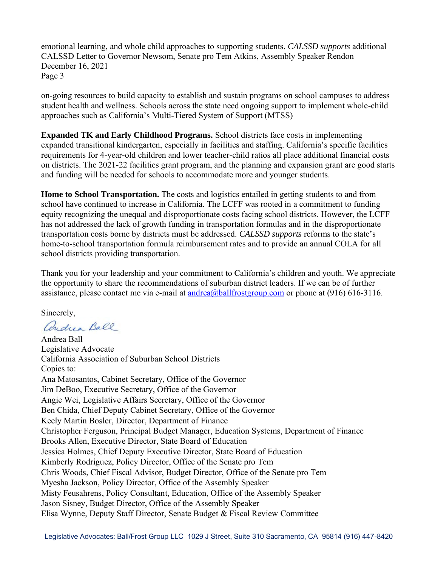emotional learning, and whole child approaches to supporting students. *CALSSD supports* additional CALSSD Letter to Governor Newsom, Senate pro Tem Atkins, Assembly Speaker Rendon December 16, 2021 Page 3

on-going resources to build capacity to establish and sustain programs on school campuses to address student health and wellness. Schools across the state need ongoing support to implement whole-child approaches such as California's Multi-Tiered System of Support (MTSS)

**Expanded TK and Early Childhood Programs.** School districts face costs in implementing expanded transitional kindergarten, especially in facilities and staffing. California's specific facilities requirements for 4-year-old children and lower teacher-child ratios all place additional financial costs on districts. The 2021-22 facilities grant program, and the planning and expansion grant are good starts and funding will be needed for schools to accommodate more and younger students.

**Home to School Transportation.** The costs and logistics entailed in getting students to and from school have continued to increase in California. The LCFF was rooted in a commitment to funding equity recognizing the unequal and disproportionate costs facing school districts. However, the LCFF has not addressed the lack of growth funding in transportation formulas and in the disproportionate transportation costs borne by districts must be addressed. *CALSSD supports* reforms to the state's home-to-school transportation formula reimbursement rates and to provide an annual COLA for all school districts providing transportation.

Thank you for your leadership and your commitment to California's children and youth. We appreciate the opportunity to share the recommendations of suburban district leaders. If we can be of further assistance, please contact me via e-mail at [andrea@ballfrostgroup.com](mailto:andrea@ballfrostgroup.com) or phone at (916) 616-3116.

Sincerely,

andrea Ball

Andrea Ball Legislative Advocate California Association of Suburban School Districts Copies to: Ana Matosantos, Cabinet Secretary, Office of the Governor Jim DeBoo, Executive Secretary, Office of the Governor Angie Wei, Legislative Affairs Secretary, Office of the Governor Ben Chida, Chief Deputy Cabinet Secretary, Office of the Governor Keely Martin Bosler, Director, Department of Finance Christopher Ferguson, Principal Budget Manager, Education Systems, Department of Finance Brooks Allen, Executive Director, State Board of Education Jessica Holmes, Chief Deputy Executive Director, State Board of Education Kimberly Rodriguez, Policy Director, Office of the Senate pro Tem Chris Woods, Chief Fiscal Advisor, Budget Director, Office of the Senate pro Tem Myesha Jackson, Policy Director, Office of the Assembly Speaker Misty Feusahrens, Policy Consultant, Education, Office of the Assembly Speaker Jason Sisney, Budget Director, Office of the Assembly Speaker Elisa Wynne, Deputy Staff Director, Senate Budget & Fiscal Review Committee